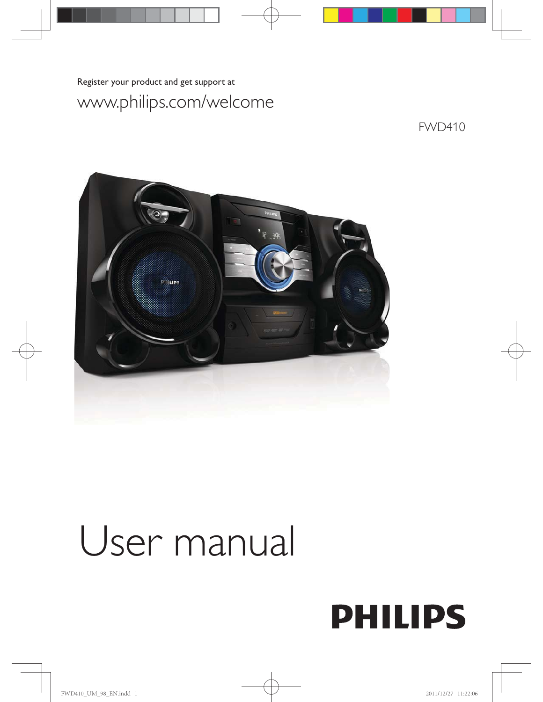## www.philips.com/welcome

Register your product and get support at

## FWD410



# User manual

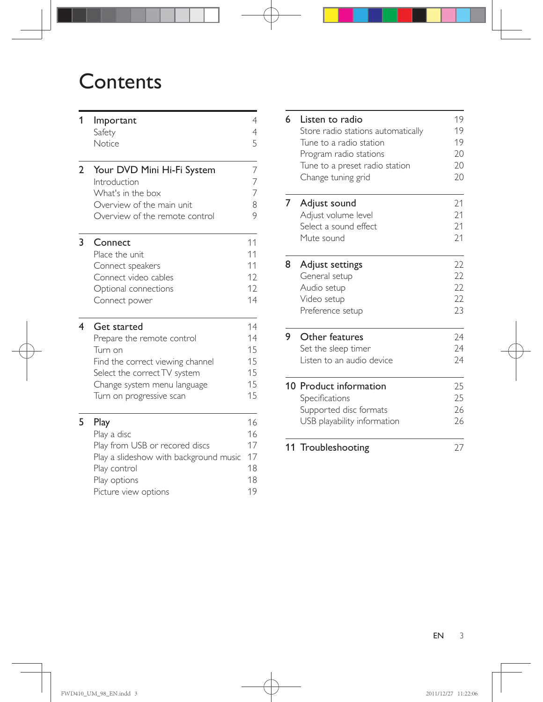## **Contents**

| 1              | Important<br>Safety<br>Notice                                                                                                                                                              | $\overline{4}$<br>$\overline{4}$<br>5  |
|----------------|--------------------------------------------------------------------------------------------------------------------------------------------------------------------------------------------|----------------------------------------|
| $\overline{2}$ | Your DVD Mini Hi-Fi System<br>Introduction<br>What's in the box<br>Overview of the main unit<br>Overview of the remote control                                                             | 7<br>7<br>$\overline{7}$<br>8<br>9     |
| 3              | Connect<br>Place the unit<br>Connect speakers<br>Connect video cables<br>Optional connections<br>Connect power                                                                             | 11<br>11<br>11<br>12<br>12<br>14       |
| 4              | <b>Get started</b><br>Prepare the remote control<br>Turn on<br>Find the correct viewing channel<br>Select the correct TV system<br>Change system menu language<br>Turn on progressive scan | 14<br>14<br>15<br>15<br>15<br>15<br>15 |
| 5              | Play<br>Play a disc<br>Play from USB or recored discs<br>Play a slideshow with background music<br>Play control<br>Play options<br>Picture view options                                    | 16<br>16<br>17<br>17<br>18<br>18<br>19 |

| 6 | Listen to radio<br>Store radio stations automatically<br>Tune to a radio station<br>Program radio stations<br>Tune to a preset radio station<br>Change tuning grid | 19<br>19<br>19<br>20<br>20<br>20 |
|---|--------------------------------------------------------------------------------------------------------------------------------------------------------------------|----------------------------------|
| 7 | Adjust sound<br>Adjust volume level<br>Select a sound effect<br>Mute sound                                                                                         | 21<br>21<br>21<br>21             |
| 8 | Adjust settings<br>General setup<br>Audio setup<br>Video setup<br>Preference setup                                                                                 | 22<br>22<br>22<br>22<br>23       |
| 9 | Other features<br>Set the sleep timer<br>Listen to an audio device                                                                                                 | 24<br>24<br>24                   |
|   | 10 Product information<br>Specifications<br>Supported disc formats<br>USB playability information                                                                  | 25<br>25<br>26<br>26             |
|   | 11 Troubleshooting                                                                                                                                                 | 27                               |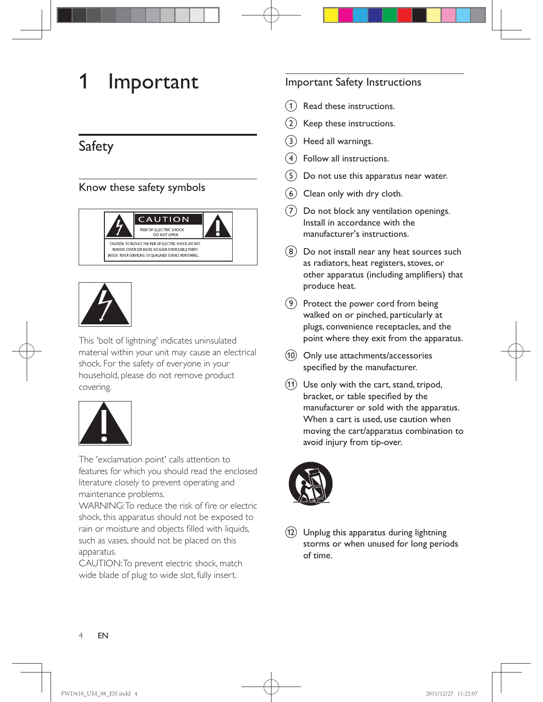## 1 Important

## Safety

#### Know these safety symbols





This 'bolt of lightning' indicates uninsulated material within your unit may cause an electrical shock. For the safety of everyone in your household, please do not remove product covering.



The 'exclamation point' calls attention to features for which you should read the enclosed literature closely to prevent operating and maintenance problems.

WARNING: To reduce the risk of fire or electric shock, this apparatus should not be exposed to rain or moisture and objects filled with liquids, such as vases, should not be placed on this apparatus.

CAUTION: To prevent electric shock, match wide blade of plug to wide slot, fully insert.

#### Important Safety Instructions

- Read these instructions.
- $\hat{b}$  Keep these instructions.
- $(3)$  Heed all warnings.
- $\left(4\right)$  Follow all instructions.
- $(5)$  Do not use this apparatus near water.
- $(6)$  Clean only with dry cloth.
- $(7)$  Do not block any ventilation openings. Install in accordance with the manufacturer's instructions.
- $(8)$  Do not install near any heat sources such as radiators, heat registers, stoves, or other apparatus (including amplifiers) that produce heat.
- $(9)$  Protect the power cord from being walked on or pinched, particularly at plugs, convenience receptacles, and the point where they exit from the apparatus.
- $(10)$  Only use attachments/accessories specified by the manufacturer.
- $(h)$  Use only with the cart, stand, tripod, bracket, or table specified by the manufacturer or sold with the apparatus. When a cart is used, use caution when moving the cart/apparatus combination to avoid injury from tip-over.





 $(12)$  Unplug this apparatus during lightning storms or when unused for long periods of time.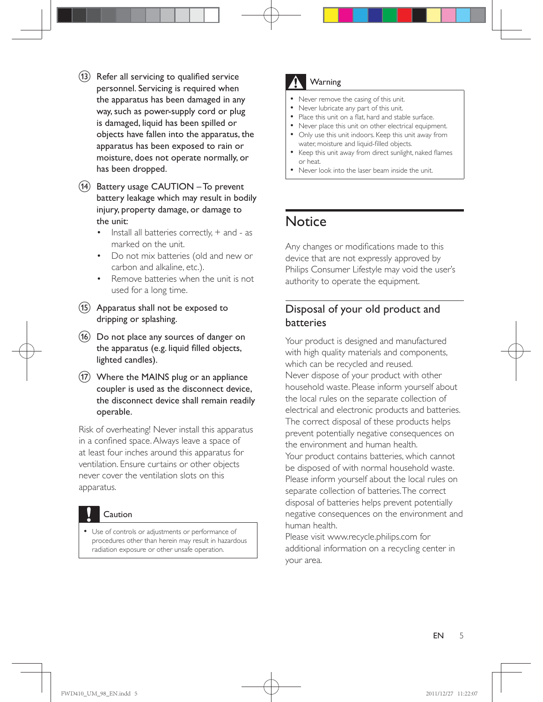- $(13)$  Refer all servicing to qualified service personnel. Servicing is required when the apparatus has been damaged in any way, such as power-supply cord or plug is damaged, liquid has been spilled or objects have fallen into the apparatus, the apparatus has been exposed to rain or moisture, does not operate normally, or has been dropped.
- $(n)$  Battery usage CAUTION To prevent battery leakage which may result in bodily injury, property damage, or damage to the unit:
	- $\cdot$  Install all batteries correctly,  $+$  and as marked on the unit.
	- Do not mix batteries (old and new or carbon and alkaline, etc.).
	- Remove batteries when the unit is not used for a long time.
- $(15)$  Apparatus shall not be exposed to dripping or splashing.
- $(16)$  Do not place any sources of danger on the apparatus (e.g. liquid filled objects, lighted candles).
- $(17)$  Where the MAINS plug or an appliance coupler is used as the disconnect device, the disconnect device shall remain readily operable.

Risk of overheating! Never install this apparatus in a confined space. Always leave a space of at least four inches around this apparatus for ventilation. Ensure curtains or other objects never cover the ventilation slots on this apparatus.



 Use of controls or adjustments or performance of procedures other than herein may result in hazardous radiation exposure or other unsafe operation.

### **Warning**

- Never remove the casing of this unit.
- Never lubricate any part of this unit.
- Place this unit on a flat, hard and stable surface.
- Never place this unit on other electrical equipment. Only use this unit indoors. Keep this unit away from water, moisture and liquid-filled objects.
- Keep this unit away from direct sunlight, naked flames or heat.
- Never look into the laser beam inside the unit.

## **Notice**

Any changes or modifications made to this device that are not expressly approved by Philips Consumer Lifestyle may void the user's authority to operate the equipment.

#### Disposal of your old product and batteries

Your product is designed and manufactured with high quality materials and components, which can be recycled and reused. Never dispose of your product with other household waste. Please inform yourself about the local rules on the separate collection of electrical and electronic products and batteries. The correct disposal of these products helps prevent potentially negative consequences on the environment and human health. Your product contains batteries, which cannot be disposed of with normal household waste. Please inform yourself about the local rules on separate collection of batteries. The correct disposal of batteries helps prevent potentially negative consequences on the environment and human health.

Please visit www.recycle.philips.com for additional information on a recycling center in your area.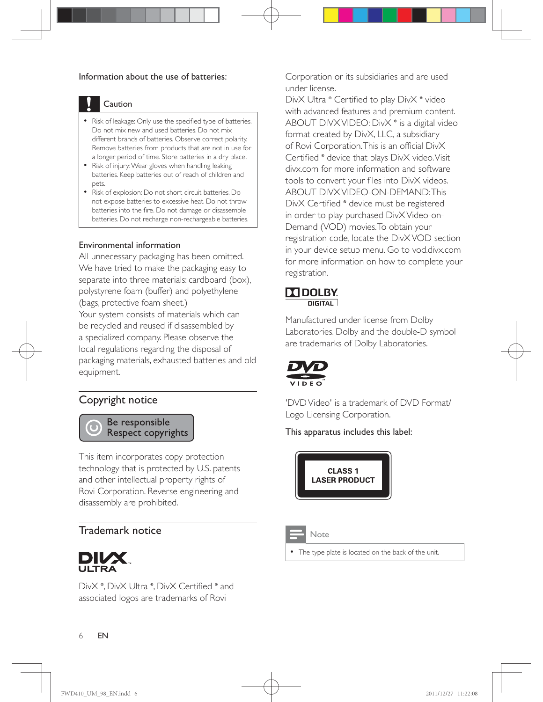#### Information about the use of batteries:



#### Caution

- Risk of leakage: Only use the specified type of batteries. Do not mix new and used batteries. Do not mix different brands of batteries. Observe correct polarity. Remove batteries from products that are not in use for a longer period of time. Store batteries in a dry place.
- Risk of injury: Wear gloves when handling leaking batteries. Keep batteries out of reach of children and pets.
- Risk of explosion: Do not short circuit batteries. Do not expose batteries to excessive heat. Do not throw batteries into the fire. Do not damage or disassemble batteries. Do not recharge non-rechargeable batteries.

#### Environmental information

All unnecessary packaging has been omitted. We have tried to make the packaging easy to separate into three materials: cardboard (box), polystyrene foam (buffer) and polyethylene (bags, protective foam sheet.) Your system consists of materials which can be recycled and reused if disassembled by a specialized company. Please observe the local regulations regarding the disposal of

packaging materials, exhausted batteries and old equipment.

#### Copyright notice

Be responsible **Respect copyrights** 

This item incorporates copy protection technology that is protected by U.S. patents and other intellectual property rights of Rovi Corporation. Reverse engineering and disassembly are prohibited.

#### Trademark notice



DivX <sup>®</sup>, DivX Ultra <sup>®</sup>, DivX Certified <sup>®</sup> and associated logos are trademarks of Rovi

Corporation or its subsidiaries and are used under license.

DivX Ultra ® Certified to play DivX ® video with advanced features and premium content. ABOUT DIVX VIDEO: Div $X^*$  is a digital video format created by DivX, LLC, a subsidiary of Rovi Corporation. This is an official DivX Certified ® device that plays DivX video. Visit divx.com for more information and software tools to convert your files into DivX videos. ABOUT DIVX VIDEO-ON-DEMAND: This DivX Certified <sup>®</sup> device must be registered in order to play purchased DivX Video-on-Demand (VOD) movies. To obtain your registration code, locate the DivX VOD section in your device setup menu. Go to vod.divx.com for more information on how to complete your registration.

#### **DE DOLBY DIGITAL**

Manufactured under license from Dolby Laboratories. Dolby and the double-D symbol are trademarks of Dolby Laboratories.



'DVD Video' is a trademark of DVD Format/ Logo Licensing Corporation.

This apparatus includes this label:





The type plate is located on the back of the unit.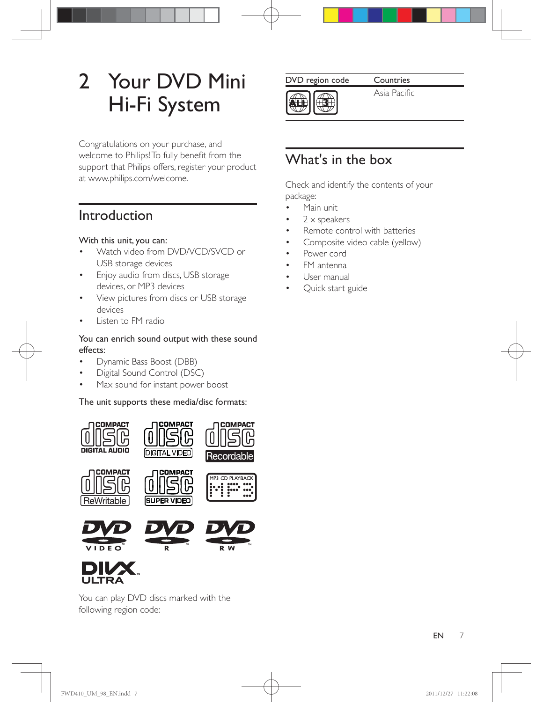## 2 Your DVD Mini Hi-Fi System

Congratulations on your purchase, and welcome to Philips! To fully benefit from the support that Philips offers, register your product at www.philips.com/welcome.

## Introduction

#### With this unit, you can:

- Watch video from DVD/VCD/SVCD or USB storage devices
- Enjoy audio from discs, USB storage devices, or MP3 devices
- View pictures from discs or USB storage devices
- Listen to FM radio

#### You can enrich sound output with these sound effects:

- Dynamic Bass Boost (DBB)
- Digital Sound Control (DSC)
- Max sound for instant power boost

#### The unit supports these media/disc formats:



You can play DVD discs marked with the following region code:

DVD region code Countries



Asia Pacific

## What's in the box

Check and identify the contents of your package:

- Main unit
- 2 x speakers
- Remote control with batteries
- Composite video cable (yellow)
- Power cord
- FM antenna
- User manual
- Quick start guide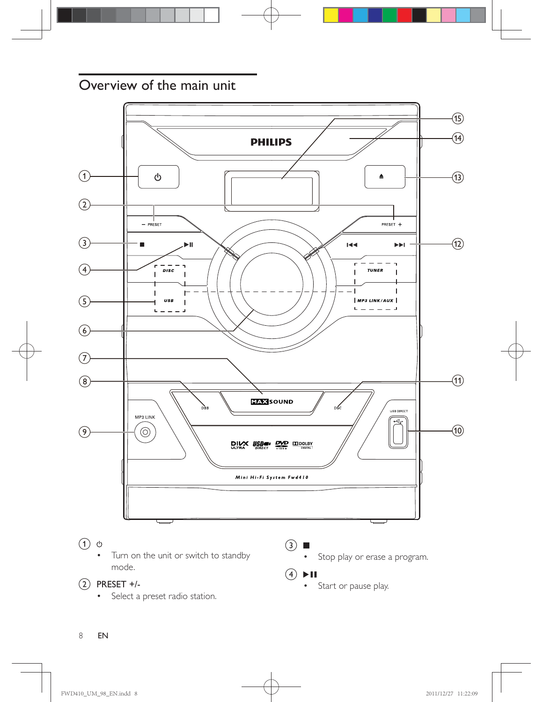## Overview of the main unit



• Start or pause play.

#### $(2)$  PRESET +/-

• Select a preset radio station.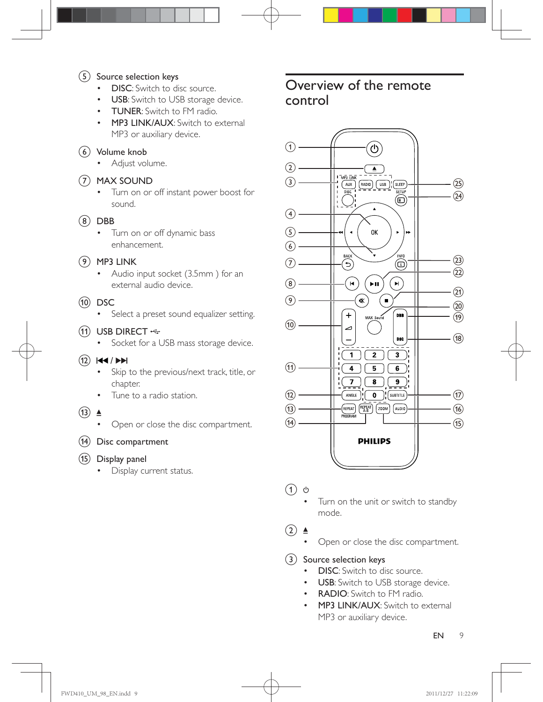#### $(5)$  Source selection keys

- DISC: Switch to disc source.
- USB: Switch to USB storage device.
- TUNER: Switch to FM radio.
- MP3 LINK/AUX: Switch to external MP3 or auxiliary device.

 $(6)$  Volume knob

Adjust volume.

#### (7) MAX SOUND

- Turn on or off instant power boost for sound.
- $(8)$  DBB
	- Turn on or off dynamic bass enhancement.

#### $(9)$  MP3 LINK

- Audio input socket (3.5mm) for an external audio device.
- $(10)$  DSC
	- Select a preset sound equalizer setting.

#### $(h)$  USB DIRECT  $\Leftrightarrow$

• Socket for a USB mass storage device.

#### $(12)$   $|\cdot|$   $|\cdot|$

- Skip to the previous/next track, title, or chapter.
- Tune to a radio station.
- $\overline{(13)}$   $\triangleq$ 
	- Open or close the disc compartment.
- $(14)$  Disc compartment
- $(15)$  Display panel
	- Display current status.

## Overview of the remote control



 $(1)$ ぃ

> Turn on the unit or switch to standby mode.

 $(2)$   $\triangle$ 

Open or close the disc compartment.

 $(3)$  Source selection keys

- DISC: Switch to disc source.
- USB: Switch to USB storage device.
- RADIO: Switch to FM radio.
- MP3 LINK/AUX: Switch to external MP3 or auxiliary device.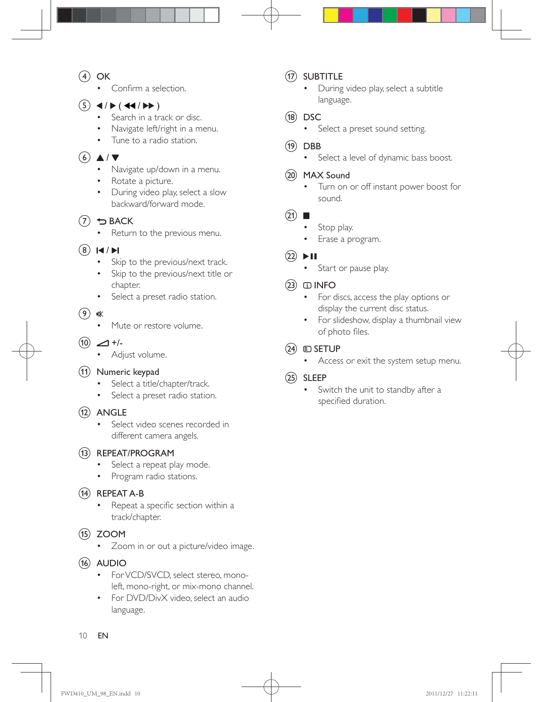- $\circ$  OK
	- Confirm a selection
- $(5)$  4/**F** (44/**FF**)
	- Search in a track or disc.
	- Navigate left/right in a menu.
	- Tune to a radio station.

#### $\circ$   $\triangle$  /  $\triangledown$

- Navigate up/down in a menu.
- Rotate a picture.
- During video play, select a slow backward/forward mode.

#### $(7)$  D BACK

Return to the previous menu.

#### $(8)$   $\blacktriangleleft$  / $\blacktriangleright$

- Skip to the previous/next track.
- Skip to the previous/next title or chapter.
- Select a preset radio station.
- $\circ$ 《
	- Mute or restore volume.
- $(10)$   $\angle$  +/-
	- Adjust volume.

#### (11) Numeric keypad

- Select a title/chapter/track.
- Select a preset radio station.

#### $(12)$  ANGLE

- Select video scenes recorded in different camera angels.
- (13) REPEAT/PROGRAM
	- Select a repeat play mode.
	- Program radio stations.
- (14) REPEAT A-B
	- Repeat a specific section within a track/chapter.
- $(15)$  ZOOM
	- Zoom in or out a picture/video image.
- $(16)$  AUDIO
	- For VCD/SVCD, select stereo, monoleft, mono-right, or mix-mono channel.
	- For DVD/DivX video, select an audio language.

#### (17) SUBTITLE

- During video play, select a subtitle language.
- $(18)$  DSC
	- Select a preset sound setting.
- $(19)$  DBB
	- Select a level of dynamic bass boost.

#### (20) MAX Sound

 Turn on or off instant power boost for sound.

#### $(21)$

- Stop play.
- Erase a program.
- $(22)$   $\blacktriangleright$  II
	- Start or pause play.

#### $(23)$  INFO

- For discs, access the play options or display the current disc status.
- For slideshow, display a thumbnail view of photo files.

#### $(24)$   $\Box$  SETUP

Access or exit the system setup menu.

#### $(25)$  SLEEP

 Switch the unit to standby after a specified duration.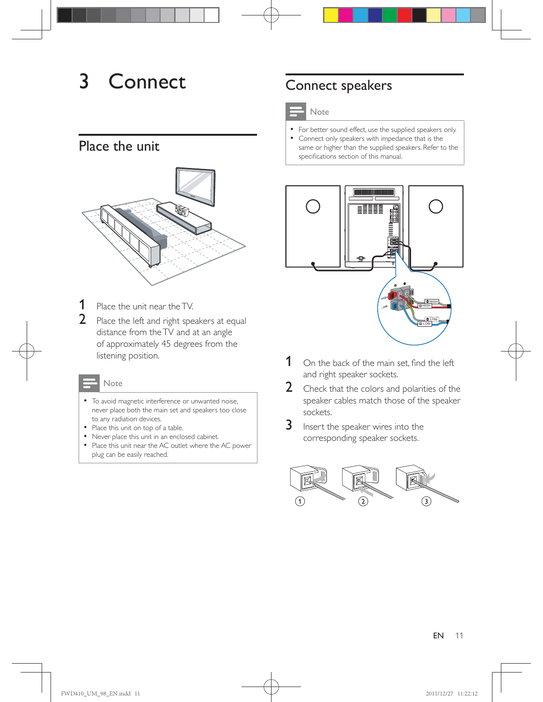## 3 Connect

## Place the unit



- **1** Place the unit near the TV.
- 2 Place the left and right speakers at equal distance from the TV and at an angle of approximately 45 degrees from the listening position.

#### Note

- To avoid magnetic interference or unwanted noise, never place both the main set and speakers too close to any radiation devices.
- Place this unit on top of a table.
- Never place this unit in an enclosed cabinet.
- Place this unit near the AC outlet where the AC power plug can be easily reached.

## Connect speakers

#### Note

- For better sound effect, use the supplied speakers only.
- Connect only speakers with impedance that is the same or higher than the supplied speakers. Refer to the specifications section of this manual.



- $1$  On the back of the main set. find the left and right speaker sockets.
- 2 Check that the colors and polarities of the speaker cables match those of the speaker sockets.
- **3** Insert the speaker wires into the corresponding speaker sockets.

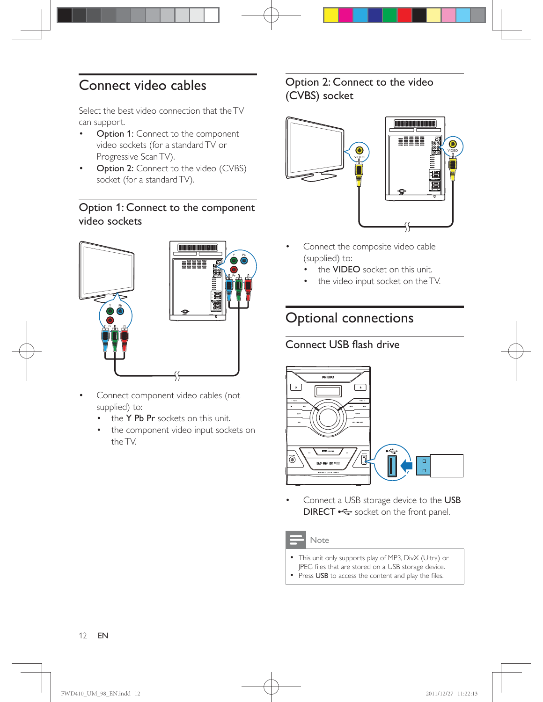## Connect video cables

Select the best video connection that the TV can support.

- Option 1: Connect to the component video sockets (for a standard TV or Progressive Scan TV).
- **Option 2:** Connect to the video (CVBS) socket (for a standard TV).

#### Option 1: Connect to the component video sockets



- Connect component video cables (not supplied) to:
	- $\cdot$  the Y Pb Pr sockets on this unit.
	- the component video input sockets on the TV.

#### Option 2: Connect to the video (CVBS) socket



- Connect the composite video cable (supplied) to:
	- the VIDEO socket on this unit.
	- the video input socket on the TV.

## Optional connections

#### Connect USB flash drive



 Connect a USB storage device to the USB **DIRECT**  $\leftarrow$  socket on the front panel.

#### Note

- This unit only supports play of MP3, DivX (Ultra) or JPEG files that are stored on a USB storage device.
- Press USB to access the content and play the files.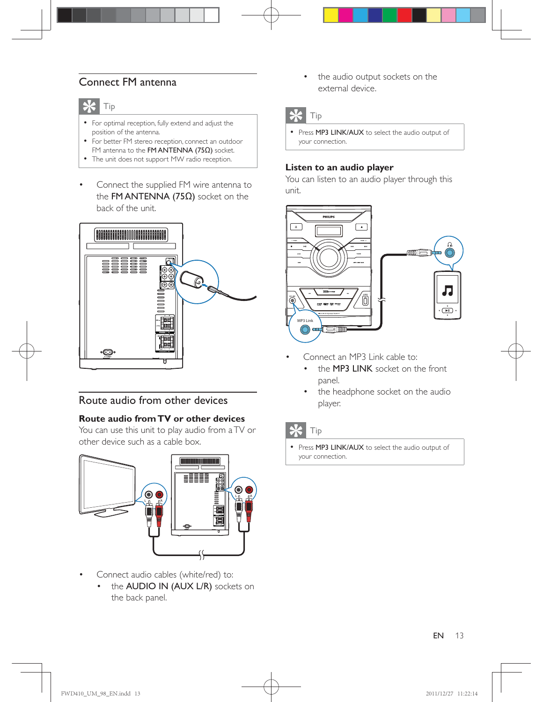#### Connect FM antenna



- For optimal reception, fully extend and adjust the position of the antenna.
- For better FM stereo reception, connect an outdoor FM antenna to the FM ANTENNA (75 $\Omega$ ) socket.
- The unit does not support MW radio reception.
- Connect the supplied FM wire antenna to the FM ANTENNA (75 $\Omega$ ) socket on the back of the unit.



#### Route audio from other devices

#### **Route audio from TV or other devices**

You can use this unit to play audio from a TV or other device such as a cable box.



- Connect audio cables (white/red) to:
	- the AUDIO IN (AUX L/R) sockets on the back panel.

 the audio output sockets on the external device.

## Tip

• Press MP3 LINK/AUX to select the audio output of your connection.

#### **Listen to an audio player**

You can listen to an audio player through this unit.



- Connect an MP3 Link cable to:
	- the **MP3 LINK** socket on the front panel.
	- the headphone socket on the audio player.

### Tip

• Press MP3 LINK/AUX to select the audio output of your connection.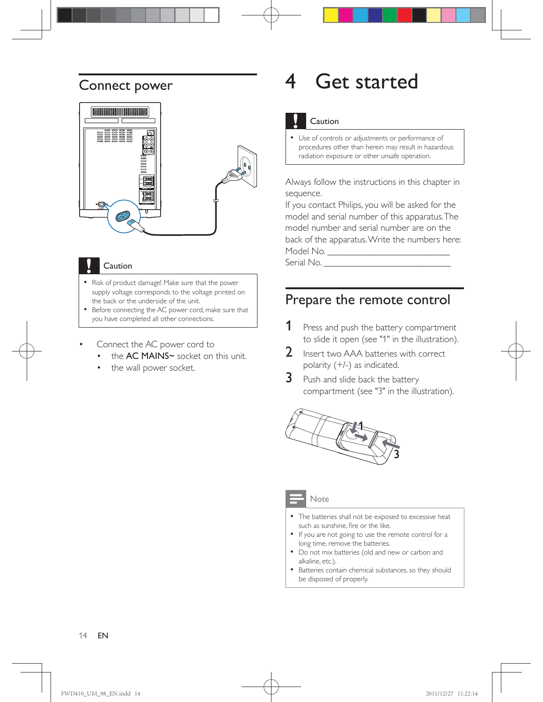### Connect power



#### Caution

- Risk of product damage! Make sure that the power supply voltage corresponds to the voltage printed on the back or the underside of the unit.
- Before connecting the AC power cord, make sure that you have completed all other connections.
- Connect the AC power cord to
	- the **AC MAINS~** socket on this unit.
	- the wall power socket.

## 4 Get started

#### Caution

 Use of controls or adjustments or performance of procedures other than herein may result in hazardous radiation exposure or other unsafe operation.

Always follow the instructions in this chapter in sequence.

If you contact Philips, you will be asked for the model and serial number of this apparatus. The model number and serial number are on the back of the apparatus. Write the numbers here: Model No. \_\_\_\_\_\_\_\_\_\_\_\_\_\_\_\_\_\_\_\_\_\_\_\_\_\_

Serial No.

### Prepare the remote control

- **1** Press and push the battery compartment to slide it open (see "1" in the illustration).
- 2 Insert two AAA batteries with correct polarity (+/-) as indicated.
- **3** Push and slide back the battery compartment (see "3" in the illustration).



#### **Note**

- The batteries shall not be exposed to excessive heat such as sunshine, fire or the like.
- If you are not going to use the remote control for a long time, remove the batteries.
- Do not mix batteries (old and new or carbon and alkaline, etc.).
- Batteries contain chemical substances, so they should be disposed of properly.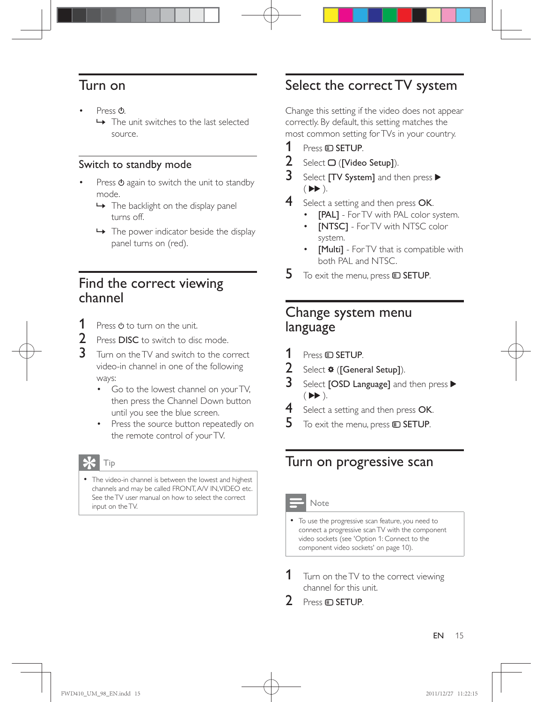## Turn on

- Press  $\mathcal{O}$ .
	- » The unit switches to the last selected source.

#### Switch to standby mode

- Press  $\Phi$  again to switch the unit to standby mode.
	- → The backlight on the display panel turns off.
	- $\rightarrow$  The power indicator beside the display panel turns on (red).

## Find the correct viewing channel

- **1** Press  $\phi$  to turn on the unit.
- 2 Press DISC to switch to disc mode.<br>3 Turn on the TV and switch to the co
- Turn on the TV and switch to the correct video-in channel in one of the following ways:
	- Go to the lowest channel on your TV, then press the Channel Down button until you see the blue screen.
	- Press the source button repeatedly on the remote control of your TV.

## Tip

• The video-in channel is between the lowest and highest channels and may be called FRONT, A/V IN, VIDEO etc. See the TV user manual on how to select the correct input on the TV.

## Select the correct TV system

Change this setting if the video does not appear correctly. By default, this setting matches the most common setting for TVs in your country.

- 1 Press  $\square$  SETUP.<br>2 Select O (IVideo
- Select  $\Box$  ([Video Setup]).
- 3 Select [TV System] and then press  $\blacktriangleright$  $($   $\blacktriangleright$   $\blacktriangleright$   $)$ .
- 4 Select a setting and then press OK.
	- [PAL] For TV with PAL color system.
	- [NTSC] For TV with NTSC color system.
	- [Multi] For TV that is compatible with both PAL and NTSC.
- $5$  To exit the menu, press  $\text{E}$  SETUP.

## Change system menu language

- 1 Press **© SETUP.**<br>2 Select **#** (**Gene**
- $\frac{2}{3}$  Select  $\frac{4}{3}$  ([General Setup]).<br> $\frac{3}{3}$  Select LOSD Language] and
- Select **[OSD Language]** and then press  $\blacktriangleright$  $($   $\blacktriangleright$   $\blacktriangleright$   $).$
- 4 Select a setting and then press OK.
- $5$  To exit the menu, press  $\textcircled{\texttt{SETUP}}$ .

## Turn on progressive scan

#### Note

- To use the progressive scan feature, you need to connect a progressive scan TV with the component video sockets (see 'Option 1: Connect to the component video sockets' on page 10).
- **1** Turn on the TV to the correct viewing channel for this unit.
- Press **ED SETUP**.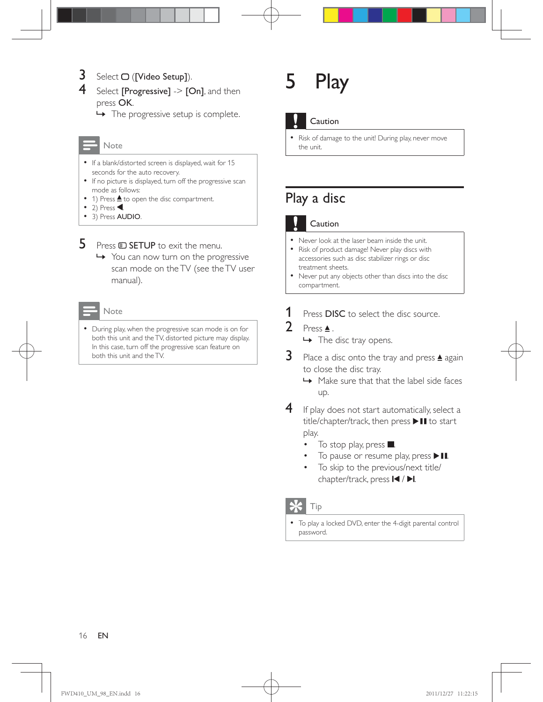### $3$  Select  $\Box$  ([Video Setup]).

Select [Progressive]  $\ge$  [On], and then press OK.

 $\rightarrow$  The progressive setup is complete.

#### Note

- If a blank/distorted screen is displayed, wait for 15 seconds for the auto recovery.
- If no picture is displayed, turn off the progressive scan mode as follows:
- 1) Press  $\triangle$  to open the disc compartment.
- $\bullet$  2) Press
- 3) Press **AUDIO**.

**5** Press  $\bullet$  **SETUP** to exit the menu.

» You can now turn on the progressive scan mode on the TV (see the TV user manual).



 During play, when the progressive scan mode is on for both this unit and the TV, distorted picture may display. In this case, turn off the progressive scan feature on both this unit and the TV.

## 5 Play



#### Caution

• Risk of damage to the unit! During play, never move the unit.

## Play a disc

#### Caution

- Never look at the laser beam inside the unit.
- Risk of product damage! Never play discs with accessories such as disc stabilizer rings or disc treatment sheets.
- Never put any objects other than discs into the disc compartment.
- **1** Press **DISC** to select the disc source.
- 2 Press $\triangle$ .
	- $\rightarrow$  The disc tray opens.
- **3** Place a disc onto the tray and press  $\triangle$  again to close the disc tray.
	- » Make sure that that the label side faces up.
- 4 If play does not start automatically, select a  $title/chapter/track,$  then press  $\blacktriangleright$  II to start play.
	- To stop play, press  $\blacksquare$ .
	- To pause or resume play, press  $\blacktriangleright$  II.
	- To skip to the previous/next title/ chapter/track, press  $\blacksquare$  /  $\blacksquare$

#### Tip

 To play a locked DVD, enter the 4-digit parental control password.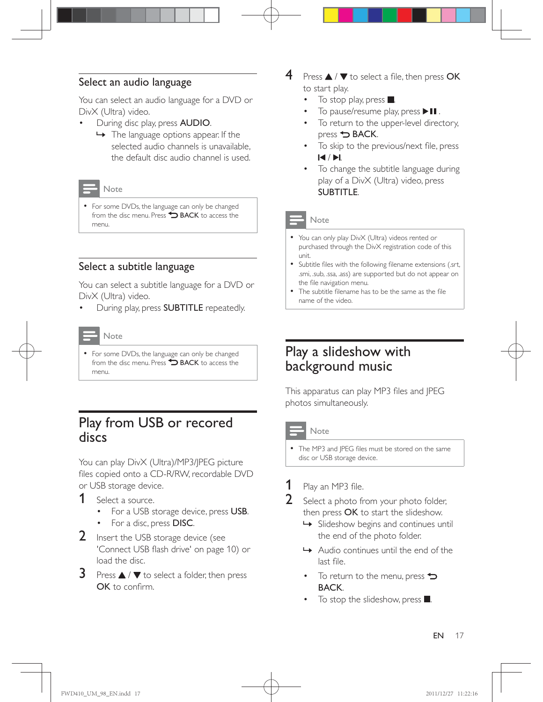#### Select an audio language

You can select an audio language for a DVD or DivX (Ultra) video.

- During disc play, press AUDIO.
	- » The language options appear. If the selected audio channels is unavailable, the default disc audio channel is used.

#### Note

• For some DVDs, the language can only be changed from the disc menu. Press  $\bigcirc$  BACK to access the menu.

#### Select a subtitle language

You can select a subtitle language for a DVD or DivX (Ultra) video.

During play, press SUBTITLE repeatedly.



• For some DVDs, the language can only be changed from the disc menu. Press **D BACK** to access the menu.

### Play from USB or recored discs

You can play DivX (Ultra)/MP3/JPEG picture files copied onto a CD-R/RW, recordable DVD or USB storage device.

- 1 Select a source.
	- For a USB storage device, press USB.
	- For a disc, press DISC.
- 2 Insert the USB storage device (see 'Connect USB flash drive' on page 10) or load the disc.
- **3** Press  $\triangle$  /  $\blacktriangledown$  to select a folder, then press  $OK$  to confirm
- $\overline{4}$  Press  $\Delta$  /  $\nabla$  to select a file, then press OK to start play.
	- To stop play, press  $\blacksquare$ .
	- To pause/resume play, press  $\blacktriangleright$  II.
	- To return to the upper-level directory, press **D** BACK.
	- To skip to the previous/next file, press  $A/DL$
	- To change the subtitle language during play of a DivX (Ultra) video, press SUBTITLE.

#### Note

- You can only play DivX (Ultra) videos rented or purchased through the DivX registration code of this unit.
- Subtitle files with the following filename extensions (.srt, .smi, .sub, .ssa, .ass) are supported but do not appear on the file navigation menu.
- The subtitle filename has to be the same as the file name of the video.

## Play a slideshow with background music

This apparatus can play MP3 files and JPEG photos simultaneously.

#### **Note**

The MP3 and JPEG files must be stored on the same disc or USB storage device.

## **1** Play an MP3 file.<br>**2** Select a photo fr

- Select a photo from your photo folder, then press OK to start the slideshow.
	- » Slideshow begins and continues until the end of the photo folder.
	- » Audio continues until the end of the last file.
	- $\bullet$  To return to the menu, press  $\bullet$ BACK.
	- $\bullet$  To stop the slideshow, press  $\blacksquare$ .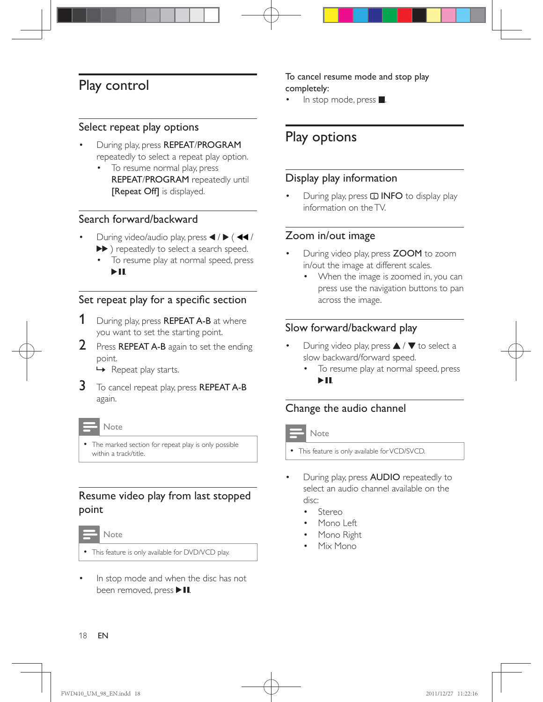## Play control

#### Select repeat play options

- During play, press REPEAT/PROGRAM repeatedly to select a repeat play option.
	- To resume normal play, press REPEAT/PROGRAM repeatedly until [Repeat Off] is displayed.

#### Search forward/backward

- During video/audio play, press  $\blacktriangleleft$  /  $\blacktriangleright$  ( $\blacktriangleleft\blacktriangleleft$  / ) repeatedly to select a search speed.
	- To resume play at normal speed, press  $\blacktriangleright$  11 .

#### Set repeat play for a specific section

- 1 During play, press REPEAT A-B at where you want to set the starting point.
- **2** Press **REPEAT A-B** again to set the ending point.
	- » Repeat play starts.
- $3$  To cancel repeat play, press REPEAT A-B again.

**Note** 

• The marked section for repeat play is only possible within a track/title.

#### Resume video play from last stopped point



- This feature is only available for DVD/VCD play.
- In stop mode and when the disc has not been removed, press  $\blacktriangleright$  II.

#### To cancel resume mode and stop play completely:

In stop mode, press  $\blacksquare$ .

## Play options

#### Display play information

During play, press **ID INFO** to display play information on the TV.

#### Zoom in/out image

- During video play, press ZOOM to zoom in/out the image at different scales.
	- When the image is zoomed in, you can press use the navigation buttons to pan across the image.

#### Slow forward/backward play

- During video play, press  $\triangle$  /  $\blacktriangledown$  to select a slow backward/forward speed.
	- To resume play at normal speed, press  $> 11$ .

#### Change the audio channel

#### Note

- This feature is only available for VCD/SVCD.
- During play, press AUDIO repeatedly to select an audio channel available on the disc:
	- Stereo
	- Mono Left
	- Mono Right
	- Mix Mono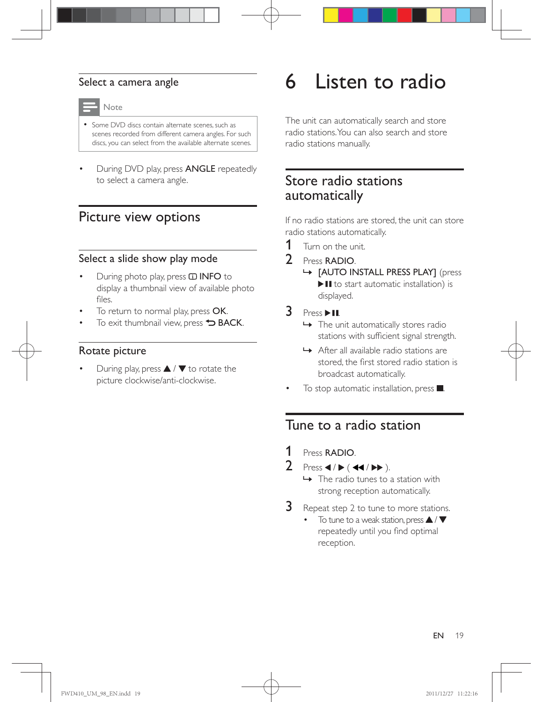#### Select a camera angle



- Some DVD discs contain alternate scenes, such as scenes recorded from different camera angles. For such discs, you can select from the available alternate scenes.
- During DVD play, press ANGLE repeatedly to select a camera angle.

### Picture view options

#### Select a slide show play mode

- During photo play, press **ID INFO** to display a thumbnail view of available photo  $fileS$
- To return to normal play, press OK.
- To exit thumbnail view, press  $\rightarrow$  BACK.

#### Rotate picture

During play, press  $\blacktriangle$  /  $\nabla$  to rotate the picture clockwise/anti-clockwise.

## 6 Listen to radio

The unit can automatically search and store radio stations. You can also search and store radio stations manually.

## Store radio stations automatically

If no radio stations are stored, the unit can store radio stations automatically.

- **1** Turn on the unit.
- 2 Press RADIO.
	- » [AUTO INSTALL PRESS PLAY] (press  $\blacktriangleright$  II to start automatic installation) is displayed.
- $3$  Press  $>11$ .
	- $\rightarrow$  The unit automatically stores radio stations with sufficient signal strength.
	- » After all available radio stations are stored, the first stored radio station is broadcast automatically.
- To stop automatic installation, press  $\blacksquare$ .

### Tune to a radio station

- 1 Press RADIO.
- 2 Press  $\blacktriangleleft$  /  $\blacktriangleright$  ( $\blacktriangleleft\blacktriangleleft$  / $\blacktriangleright\blacktriangleright$  ).
	- $\rightarrow$  The radio tunes to a station with strong reception automatically.
- **3** Repeat step 2 to tune to more stations.
	- To tune to a weak station, press  $\blacktriangle / \blacktriangledown$ repeatedly until you find optimal reception.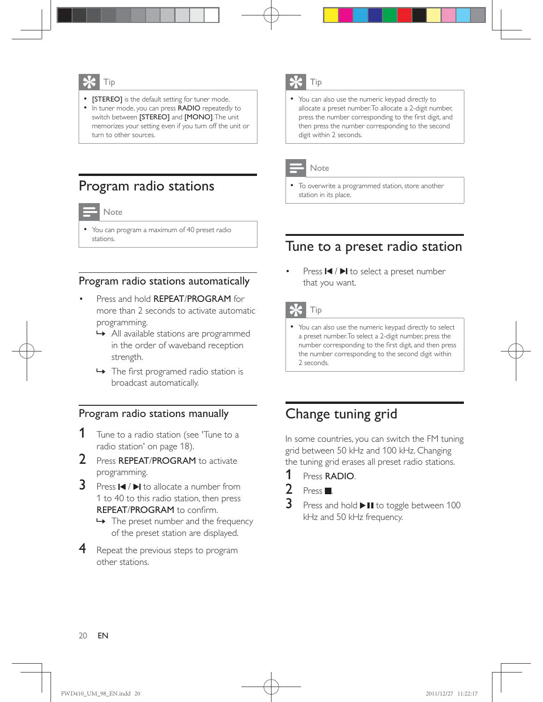- [STEREO] is the default setting for tuner mode.
- In tuner mode, you can press RADIO repeatedly to switch between [STEREO] and [MONO]. The unit memorizes your setting even if you turn off the unit or turn to other sources.

## Program radio stations



 You can program a maximum of 40 preset radio stations.

#### Program radio stations automatically

- Press and hold REPEAT/PROGRAM for more than 2 seconds to activate automatic programming.
	- » All available stations are programmed in the order of waveband reception strength.
	- $\rightarrow$  The first programed radio station is broadcast automatically.

#### Program radio stations manually

- **1** Tune to a radio station (see 'Tune to a radio station' on page 18).
- 2 Press REPEAT/PROGRAM to activate programming.
- **3** Press  $\left| \cdot \right|$   $\left| \cdot \right|$  to allocate a number from 1 to 40 to this radio station, then press REPEAT/PROGRAM to confirm.
	- $\rightarrow$  The preset number and the frequency of the preset station are displayed.
- **4** Repeat the previous steps to program other stations.

## Tip

 You can also use the numeric keypad directly to allocate a preset number. To allocate a 2-digit number, press the number corresponding to the first digit, and then press the number corresponding to the second digit within 2 seconds.



#### Note

 To overwrite a programmed station, store another station in its place.

### Tune to a preset radio station

Press  $\blacksquare$  /  $\blacksquare$  to select a preset number that you want.



#### Tip

 You can also use the numeric keypad directly to select a preset number. To select a 2-digit number, press the number corresponding to the first digit, and then press the number corresponding to the second digit within 2 seconds.

## Change tuning grid

In some countries, you can switch the FM tuning grid between 50 kHz and 100 kHz. Changing the tuning grid erases all preset radio stations.

- 1 Press RADIO.
- 2 Press  $\blacksquare$
- **3** Press and hold  $\blacktriangleright$  **II** to toggle between 100  $k$ Hz and 50  $k$ Hz frequency.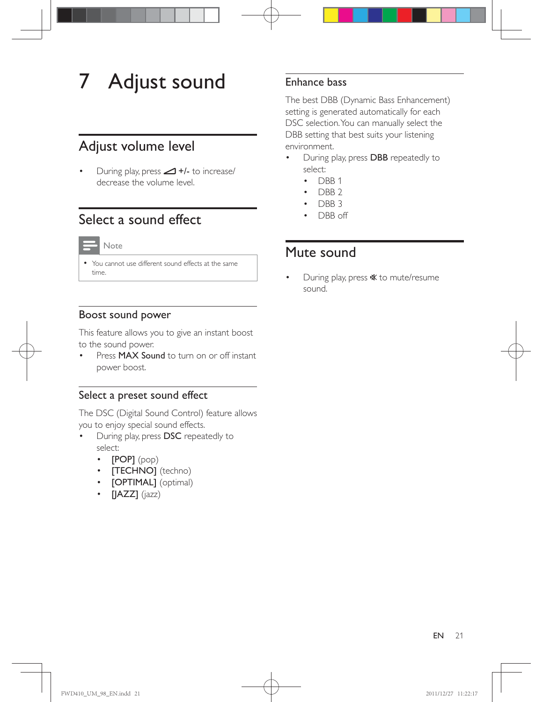## 7 Adjust sound

## Adjust volume level

During play, press  $\triangle$  +/- to increase/ decrease the volume level.

## Select a sound effect

| $\sim$ |
|--------|

 You cannot use different sound effects at the same time.

#### Boost sound power

This feature allows you to give an instant boost to the sound power.

Press **MAX Sound** to turn on or off instant power boost.

#### Select a preset sound effect

The DSC (Digital Sound Control) feature allows you to enjoy special sound effects.

- During play, press DSC repeatedly to select:
	- [POP] (pop)
	- **[TECHNO]** (techno)
	- [OPTIMAL] (optimal)
	- $\cdot$  [JAZZ] (jazz)

#### Enhance bass

The best DBB (Dynamic Bass Enhancement) setting is generated automatically for each DSC selection. You can manually select the DBB setting that best suits your listening environment.

- During play, press DBB repeatedly to select:
	- $\cdot$  DBB 1
	- DBB<sub>2</sub>
	- DBB 3
	- DBB off

## Mute sound

During play, press  $\mathcal K$  to mute/resume sound.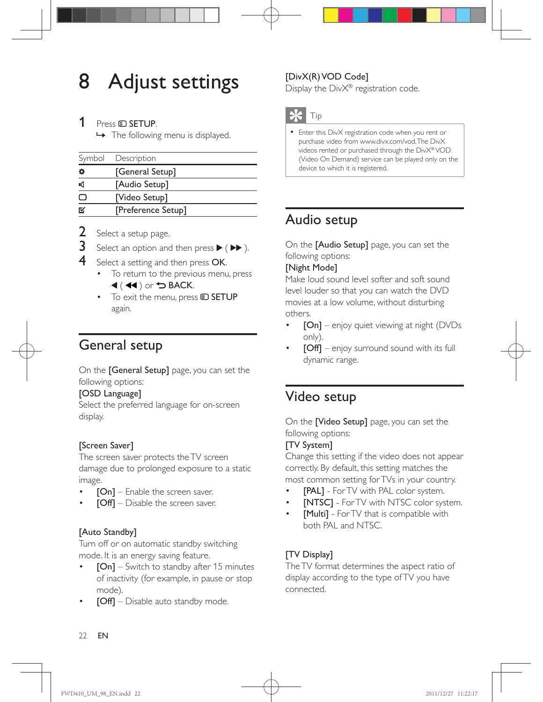## 8 Adjust settings

#### 1 Press **D** SETUP.

» The following menu is displayed.

|     | Symbol Description |
|-----|--------------------|
| ☆   | [General Setup]    |
| иđ  | [Audio Setup]      |
|     | [Video Setup]      |
| ΓV. | [Preference Setup] |

- 2 Select a setup page.
- **3** Select an option and then press  $\blacktriangleright$  ( $\blacktriangleright$ ).
- Select a setting and then press OK.
	- To return to the previous menu, press  $\blacktriangleleft$  ( $\blacktriangleleft$ ) or  $\blacktriangleright$  BACK.
	- $\bullet$  To exit the menu, press  $\bullet$  **SETUP** again.

## General setup

On the [General Setup] page, you can set the following options:

#### [OSD Language]

Select the preferred language for on-screen display.

#### [Screen Saver]

The screen saver protects the TV screen damage due to prolonged exposure to a static image.

- $[On]$  Enable the screen saver.
- $\text{[Off]}$  Disable the screen saver.

#### [Auto Standby]

Turn off or on automatic standby switching mode. It is an energy saving feature.

- $[On]$  Switch to standby after 15 minutes of inactivity (for example, in pause or stop mode).
- [Off] Disable auto standby mode.

#### [DivX(R) VOD Code]

Display the DivX<sup>®</sup> registration code.



 Enter this DivX registration code when you rent or purchase video from www.divx.com/vod. The DivX videos rented or purchased through the DivX® VOD (Video On Demand) service can be played only on the device to which it is registered.

## Audio setup

On the [Audio Setup] page, you can set the following options:

#### [Night Mode]

Make loud sound level softer and soft sound level louder so that you can watch the DVD movies at a low volume, without disturbing others.

- $[On]$  enjoy quiet viewing at night (DVDs only).
- $[Off]$  enjoy surround sound with its full dynamic range.

## Video setup

On the [Video Setup] page, you can set the following options:

#### [TV System]

Change this setting if the video does not appear correctly. By default, this setting matches the most common setting for TVs in your country.

- [PAL] For TV with PAL color system.
- [NTSC] For TV with NTSC color system.
- [Multi] For TV that is compatible with both PAL and NTSC.

#### [TV Display]

The TV format determines the aspect ratio of display according to the type of TV you have connected.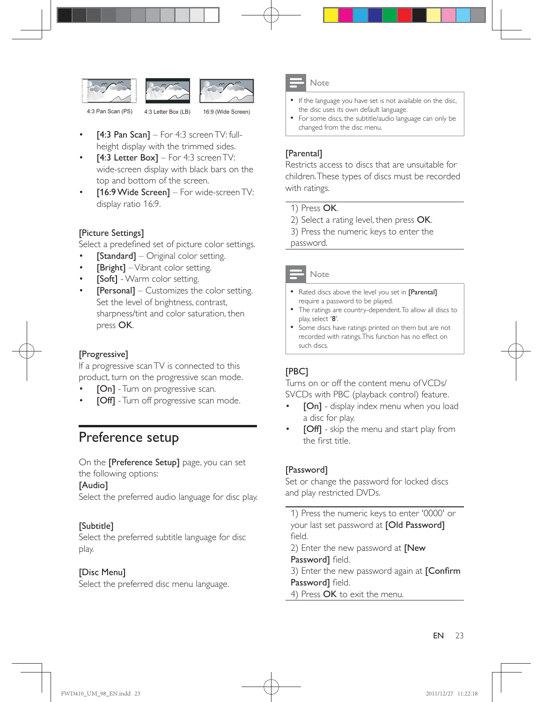



4:3 Pan Scan (PS) 4:3 Letter Box (LB) 16:9 (Wide Screen)

- $[4:3$  Pan Scan] For 4:3 screen TV: fullheight display with the trimmed sides.
- [4:3 Letter Box] For 4:3 screen TV: wide-screen display with black bars on the top and bottom of the screen.
- [16:9 Wide Screen] For wide-screen TV: display ratio 16:9.

#### [Picture Settings]

Select a predefined set of picture color settings.

- [Standard] Original color setting.
- [Bright] Vibrant color setting.
- [Soft] Warm color setting.
- [Personal] Customizes the color setting. Set the level of brightness, contrast, sharpness/tint and color saturation, then press OK.

#### [Progressive]

If a progressive scan TV is connected to this product, turn on the progressive scan mode.

- [On] Turn on progressive scan.
- [Off] Turn off progressive scan mode.

### Preference setup

On the [Preference Setup] page, you can set the following options:

#### [Audio]

Select the preferred audio language for disc play.

#### [Subtitle]

Select the preferred subtitle language for disc play.

#### [Disc Menu]

Select the preferred disc menu language.



- If the language you have set is not available on the disc, the disc uses its own default language.
- For some discs, the subtitle/audio language can only be changed from the disc menu.

#### [Parental]

Restricts access to discs that are unsuitable for children. These types of discs must be recorded with ratings.

#### 1) Press OK.

- 2) Select a rating level, then press OK.
- 3) Press the numeric keys to enter the

password.



- Rated discs above the level you set in [Parental] require a password to be played.
- The ratings are country-dependent. To allow all discs to play, select '8'.
- Some discs have ratings printed on them but are not recorded with ratings. This function has no effect on such discs.

#### [PBC]

Turns on or off the content menu of VCDs/ SVCDs with PBC (playback control) feature.

- [On] display index menu when you load a disc for play.
- [Off] skip the menu and start play from the first title.

#### [Password]

Set or change the password for locked discs and play restricted DVDs.

1) Press the numeric keys to enter '0000' or your last set password at [Old Password] field.

2) Enter the new password at **[New** Password] field.

3) Enter the new password again at [Confirm Password] field.

4) Press OK to exit the menu.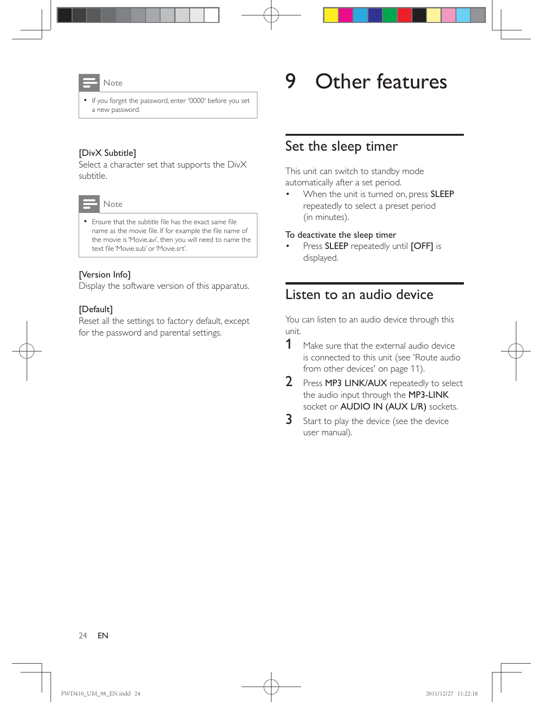

• If you forget the password, enter '0000' before you set a new password.

#### [DivX Subtitle]

Select a character set that supports the DivX subtitle.



• Ensure that the subtitle file has the exact same file name as the movie file. If for example the file name of the movie is 'Movie.avi', then you will need to name the text file 'Movie.sub' or 'Movie.srt'.

#### [Version Info]

Display the software version of this apparatus.

#### [Default]

Reset all the settings to factory default, except for the password and parental settings.

## 9 Other features

### Set the sleep timer

This unit can switch to standby mode automatically after a set period.

When the unit is turned on, press SLEEP repeatedly to select a preset period (in minutes).

#### To deactivate the sleep timer

Press **SLEEP** repeatedly until [OFF] is displayed.

### Listen to an audio device

You can listen to an audio device through this unit.

- 1 Make sure that the external audio device is connected to this unit (see 'Route audio from other devices' on page 11).
- 2 Press MP3 LINK/AUX repeatedly to select the audio input through the MP3-LINK socket or AUDIO IN (AUX L/R) sockets.
- 3 Start to play the device (see the device user manual).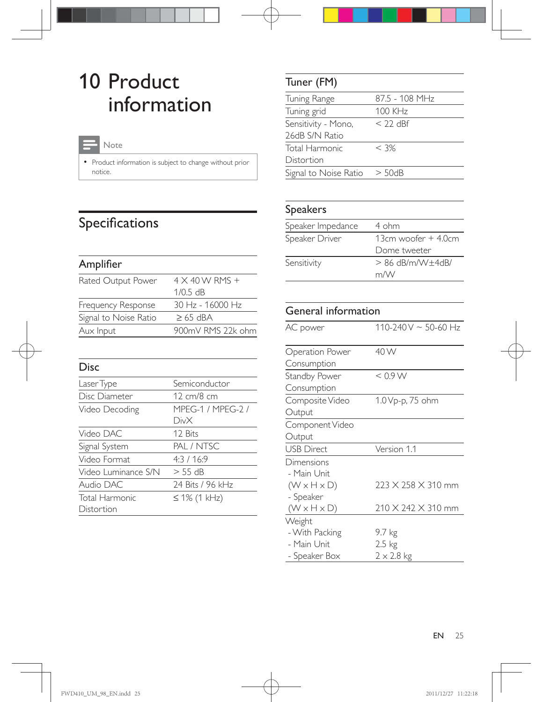## 10 Product information

## Note

• Product information is subject to change without prior notice.

## Specifications

### Amplifier

| Rated Output Power    | $4 \times 40$ W RMS + |
|-----------------------|-----------------------|
|                       | $1/0.5$ dB            |
| Frequency Response    | 30 Hz - 16000 Hz      |
| Signal to Noise Ratio | $\geq 65$ dBA         |
| Aux Input             | 900mV RMS 22k ohm     |

| Disc                |                   |
|---------------------|-------------------|
| Laser Type          | Semiconductor     |
| Disc Diameter       | 12 cm/8 cm        |
| Video Decoding      | MPFG-1 / MPFG-2 / |
|                     | DivX              |
| Video DAC           | 12 Bits           |
| Signal System       | PAL / NTSC        |
| Video Format        | 4:3/16:9          |
| Video Luminance S/N | $>$ 55 dB         |
| Audio DAC           | 24 Bits / 96 kHz  |
| Total Harmonic      | ≤ 1% (1 kHz)      |
| Distortion          |                   |

## Tuner (FM)

| Tuning Range          | 87.5 - 108 MHz |
|-----------------------|----------------|
| Tuning grid           | <b>100 KHz</b> |
| Sensitivity - Mono,   | $<$ 22 dBf     |
| 26dB S/N Ratio        |                |
| Total Harmonic        | $<$ 3%         |
| Distortion            |                |
| Signal to Noise Ratio | $>$ 50dB       |

## Speakers

| Speaker Impedance | 4 ohm                       |
|-------------------|-----------------------------|
| Speaker Driver    | 13 $cm$ woofer $+$ 4.0 $cm$ |
|                   | Dome tweeter                |
| Sensitivity       | $> 86$ dB/m/W+4dB/          |
|                   | m/W                         |

| <b>General information</b>                           |                                                 |  |
|------------------------------------------------------|-------------------------------------------------|--|
| AC power                                             | $110-240V \sim 50-60 Hz$                        |  |
| Operation Power                                      | 40 W                                            |  |
| Consumption                                          |                                                 |  |
| Standby Power<br>Consumption                         | < 0.9 W                                         |  |
| Composite Video<br>Output                            | 1.0 Vp-p, 75 ohm                                |  |
| Component Video                                      |                                                 |  |
| Output                                               |                                                 |  |
| <b>USB Direct</b>                                    | Version 1.1                                     |  |
| Dimensions<br>- Main Unit<br>$(W \times H \times D)$ | 223 X 258 X 310 mm                              |  |
| - Speaker<br>$(W \times H \times D)$                 | 210 X 242 X 310 mm                              |  |
| Weight                                               |                                                 |  |
| - With Packing<br>- Main Unit<br>- Speaker Box       | 9.7 kg<br>$2.5 \text{ kg}$<br>$2 \times 2.8$ kg |  |
|                                                      |                                                 |  |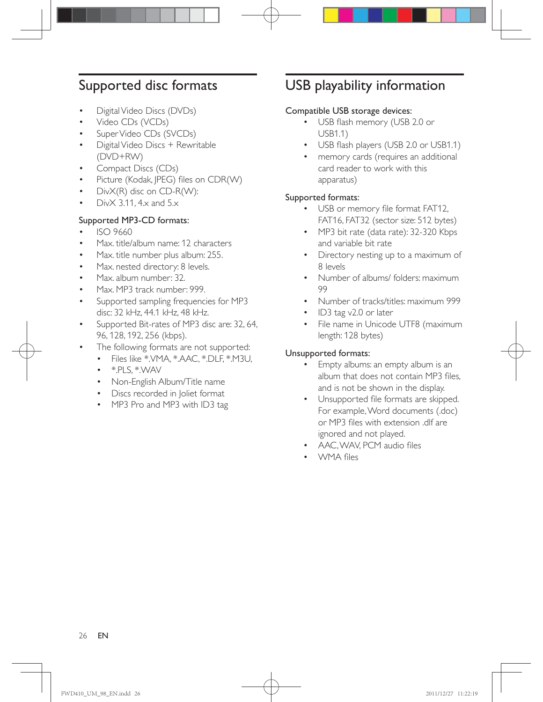## Supported disc formats

- Digital Video Discs (DVDs)
- Video CDs (VCDs)
- Super Video CDs (SVCDs)
- Digital Video Discs + Rewritable (DVD+RW)
- Compact Discs (CDs)
- Picture (Kodak, JPEG) files on CDR(W)
- DivX(R) disc on CD-R(W):
- Div $\times$  3.11, 4 $\times$  and 5 $\times$

#### Supported MP3-CD formats:

- ISO 9660
- Max. title/album name: 12 characters
- Max. title number plus album: 255.
- Max. nested directory: 8 levels.
- Max. album number: 32.
- Max. MP3 track number: 999.
- Supported sampling frequencies for MP3 disc: 32 kHz, 44.1 kHz, 48 kHz.
- Supported Bit-rates of MP3 disc are: 32, 64, 96, 128, 192, 256 (kbps).
- The following formats are not supported:
	- Files like \*.VMA, \*.AAC, \*.DLF, \*.M3U,
	- $\bullet$  \*.PLS,  $*$ .WAV
	- Non-English Album/Title name
	- Discs recorded in Joliet format
	- MP3 Pro and MP3 with ID3 tag

## USB playability information

#### Compatible USB storage devices:

- USB flash memory (USB 2.0 or USB1.1)
- USB flash players (USB 2.0 or USB1.1)
- memory cards (requires an additional card reader to work with this apparatus)

#### Supported formats:

- USB or memory file format FAT12, FAT16, FAT32 (sector size: 512 bytes)
- MP3 bit rate (data rate): 32-320 Kbps and variable bit rate
- Directory nesting up to a maximum of 8 levels
- Number of albums/ folders: maximum 99
- Number of tracks/titles: maximum 999
- ID3 tag v2.0 or later
- File name in Unicode UTF8 (maximum length: 128 bytes)

#### Unsupported formats:

- Empty albums: an empty album is an album that does not contain MP3 files. and is not be shown in the display.
- Unsupported file formats are skipped. For example, Word documents (.doc) or MP3 files with extension .dlf are ignored and not played.
- AAC, WAV, PCM audio files
- WMA files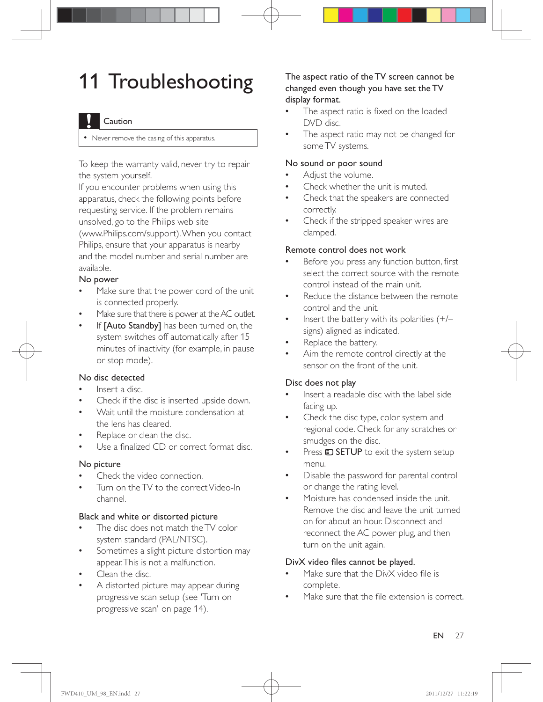## 11 Troubleshooting

#### Caution

Never remove the casing of this apparatus.

To keep the warranty valid, never try to repair the system yourself.

If you encounter problems when using this apparatus, check the following points before requesting service. If the problem remains unsolved, go to the Philips web site (www.Philips.com/support). When you contact Philips, ensure that your apparatus is nearby and the model number and serial number are available.

#### No power

- Make sure that the power cord of the unit is connected properly.
- Make sure that there is power at the AC outlet.
- If [Auto Standby] has been turned on, the system switches off automatically after 15 minutes of inactivity (for example, in pause or stop mode).

#### No disc detected

- Insert a disc.
- Check if the disc is inserted upside down.
- Wait until the moisture condensation at the lens has cleared.
- Replace or clean the disc.
- Use a finalized CD or correct format disc.

#### No picture

- Check the video connection.
- Turn on the TV to the correct Video-In channel.

#### Black and white or distorted picture

- The disc does not match the TV color system standard (PAL/NTSC).
- Sometimes a slight picture distortion may appear. This is not a malfunction.
- Clean the disc.
- A distorted picture may appear during progressive scan setup (see 'Turn on progressive scan' on page 14).

#### The aspect ratio of the TV screen cannot be changed even though you have set the TV display format.

- The aspect ratio is fixed on the loaded DVD disc.
- The aspect ratio may not be changed for some TV systems.

#### No sound or poor sound

- Adjust the volume.
- Check whether the unit is muted.
- Check that the speakers are connected correctly.
- Check if the stripped speaker wires are clamped.

#### Remote control does not work

- Before you press any function button, first select the correct source with the remote control instead of the main unit.
- Reduce the distance between the remote control and the unit.
- Insert the battery with its polarities  $(+/-)$ signs) aligned as indicated.
- Replace the battery.
- Aim the remote control directly at the sensor on the front of the unit.

#### Disc does not play

- Insert a readable disc with the label side facing up.
- Check the disc type, color system and regional code. Check for any scratches or smudges on the disc.
- Press  $\bigcirc$  SETUP to exit the system setup menu.
- Disable the password for parental control or change the rating level.
- Moisture has condensed inside the unit. Remove the disc and leave the unit turned on for about an hour. Disconnect and reconnect the AC power plug, and then turn on the unit again.

#### DivX video files cannot be played.

- Make sure that the DivX video file is complete.
- Make sure that the file extension is correct.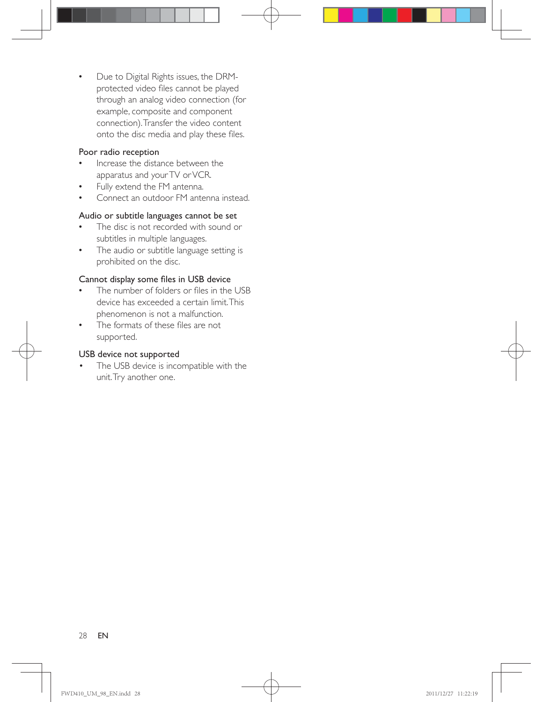• Due to Digital Rights issues, the DRMprotected video files cannot be played through an analog video connection (for example, composite and component connection). Transfer the video content onto the disc media and play these files.

#### Poor radio reception

- Increase the distance between the apparatus and your TV or VCR.
- Fully extend the FM antenna.
- Connect an outdoor FM antenna instead.

#### Audio or subtitle languages cannot be set

- The disc is not recorded with sound or subtitles in multiple languages.
- The audio or subtitle language setting is prohibited on the disc.

#### Cannot display some files in USB device

- The number of folders or files in the USB device has exceeded a certain limit. This phenomenon is not a malfunction.
- The formats of these files are not supported.

#### USB device not supported

 The USB device is incompatible with the unit. Try another one.